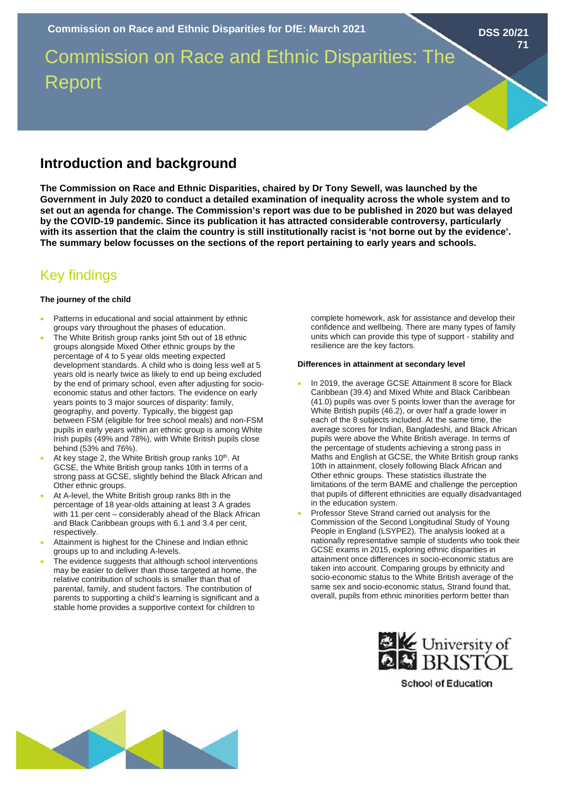Commission on Race and Ethnic Disparities: The Report

# **Introduction and background**

**The Commission on Race and Ethnic Disparities, chaired by Dr Tony Sewell, was launched by the Government in July 2020 to conduct a detailed examination of inequality across the whole system and to set out an agenda for change. The Commission's report was due to be published in 2020 but was delayed by the COVID-19 pandemic. Since its publication it has attracted considerable controversy, particularly with its assertion that the claim the country is still institutionally racist is 'not borne out by the evidence'. The summary below focusses on the sections of the report pertaining to early years and schools.** 

# Key findings

#### **The journey of the child**

- Patterns in educational and social attainment by ethnic groups vary throughout the phases of education.
- The White British group ranks joint 5th out of 18 ethnic groups alongside Mixed Other ethnic groups by the percentage of 4 to 5 year olds meeting expected development standards. A child who is doing less well at 5 years old is nearly twice as likely to end up being excluded by the end of primary school, even after adjusting for socioeconomic status and other factors. The evidence on early years points to 3 major sources of disparity: family, geography, and poverty. Typically, the biggest gap between FSM (eligible for free school meals) and non-FSM pupils in early years within an ethnic group is among White Irish pupils (49% and 78%), with White British pupils close behind (53% and 76%).
- At key stage 2, the White British group ranks 10<sup>th</sup>. At GCSE, the White British group ranks 10th in terms of a strong pass at GCSE, slightly behind the Black African and Other ethnic groups.
- At A-level, the White British group ranks 8th in the percentage of 18 year-olds attaining at least 3 A grades with 11 per cent – considerably ahead of the Black African and Black Caribbean groups with 6.1 and 3.4 per cent, respectively.
- Attainment is highest for the Chinese and Indian ethnic groups up to and including A-levels.
- The evidence suggests that although school interventions may be easier to deliver than those targeted at home, the relative contribution of schools is smaller than that of parental, family, and student factors. The contribution of parents to supporting a child's learning is significant and a stable home provides a supportive context for children to

complete homework, ask for assistance and develop their confidence and wellbeing. There are many types of family units which can provide this type of support - stability and resilience are the key factors.

**DSS 20/21**

**71**

#### **Differences in attainment at secondary level**

- In 2019, the average GCSE Attainment 8 score for Black Caribbean (39.4) and Mixed White and Black Caribbean (41.0) pupils was over 5 points lower than the average for White British pupils (46.2), or over half a grade lower in each of the 8 subjects included. At the same time, the average scores for Indian, Bangladeshi, and Black African pupils were above the White British average. In terms of the percentage of students achieving a strong pass in Maths and English at GCSE, the White British group ranks 10th in attainment, closely following Black African and Other ethnic groups. These statistics illustrate the limitations of the term BAME and challenge the perception that pupils of different ethnicities are equally disadvantaged in the education system.
- Professor Steve Strand carried out analysis for the Commission of the Second Longitudinal Study of Young People in England (LSYPE2). The analysis looked at a nationally representative sample of students who took their GCSE exams in 2015, exploring ethnic disparities in attainment once differences in socio-economic status are taken into account. Comparing groups by ethnicity and socio-economic status to the White British average of the same sex and socio-economic status, Strand found that, overall, pupils from ethnic minorities perform better than



**School of Education**